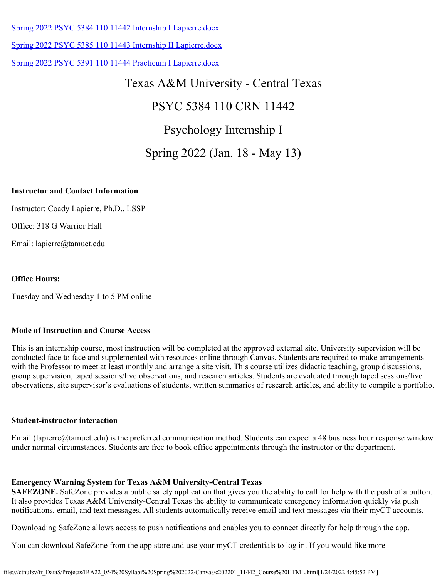[Spring 2022 PSYC 5384 110 11442 Internship I Lapierre.docx](https://tamuct.instructure.com/courses/9581/files/1190149?verifier=pgwVUwXteReanA72rLRcNLo8WAUTpqynmGViVUV6&wrap=1)

[Spring 2022 PSYC 5385 110 11443 Internship II Lapierre.docx](https://tamuct.instructure.com/courses/9581/files/1197861?verifier=dvuPCGxLXRLA0ttakWTnzeoBnbuDvWsJ2iuK8Ncm&wrap=1)

[Spring 2022 PSYC 5391 110 11444 Practicum I Lapierre.docx](https://tamuct.instructure.com/courses/9581/files/1197862?verifier=4e0XuakYp1H6LWUjNAo0IzVWtsRpLUpBLLVP2uSR&wrap=1)

# Texas A&M University - Central Texas

# PSYC 5384 110 CRN 11442

# Psychology Internship I

# Spring 2022 (Jan. 18 - May 13)

### **Instructor and Contact Information**

Instructor: Coady Lapierre, Ph.D., LSSP

Office: 318 G Warrior Hall

Email: lapierre@tamuct.edu

### **Office Hours:**

Tuesday and Wednesday 1 to 5 PM online

### **Mode of Instruction and Course Access**

This is an internship course, most instruction will be completed at the approved external site. University supervision will be conducted face to face and supplemented with resources online through Canvas. Students are required to make arrangements with the Professor to meet at least monthly and arrange a site visit. This course utilizes didactic teaching, group discussions, group supervision, taped sessions/live observations, and research articles. Students are evaluated through taped sessions/live observations, site supervisor's evaluations of students, written summaries of research articles, and ability to compile a portfolio.

### **Student-instructor interaction**

Email (lapierre@tamuct.edu) is the preferred communication method. Students can expect a 48 business hour response window under normal circumstances. Students are free to book office appointments through the instructor or the department.

### **Emergency Warning System for Texas A&M University-Central Texas**

**SAFEZONE.** SafeZone provides a public safety application that gives you the ability to call for help with the push of a button. It also provides Texas A&M University-Central Texas the ability to communicate emergency information quickly via push notifications, email, and text messages. All students automatically receive email and text messages via their myCT accounts.

Downloading SafeZone allows access to push notifications and enables you to connect directly for help through the app.

You can download SafeZone from the app store and use your myCT credentials to log in. If you would like more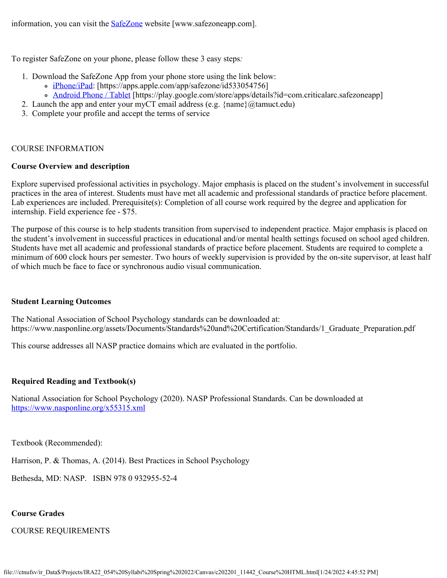information, you can visit the **SafeZone** website [www.safezoneapp.com].

To register SafeZone on your phone, please follow these 3 easy steps*:*

- 1. Download the SafeZone App from your phone store using the link below:
	- o [iPhone/iPad](https://apps.apple.com/app/safezone/id533054756): [https://apps.apple.com/app/safezone/id533054756]
	- [Android Phone / Tablet](https://play.google.com/store/apps/details?id=com.criticalarc.safezoneapp) [https://play.google.com/store/apps/details?id=com.criticalarc.safezoneapp]
- 2. Launch the app and enter your myCT email address (e.g.  $\{\text{name}\}\langle\omega\rangle$  tamuct.edu)
- 3. Complete your profile and accept the terms of service

### COURSE INFORMATION

### **Course Overview and description**

Explore supervised professional activities in psychology. Major emphasis is placed on the student's involvement in successful practices in the area of interest. Students must have met all academic and professional standards of practice before placement. Lab experiences are included. Prerequisite(s): Completion of all course work required by the degree and application for internship. Field experience fee - \$75.

The purpose of this course is to help students transition from supervised to independent practice. Major emphasis is placed on the student's involvement in successful practices in educational and/or mental health settings focused on school aged children. Students have met all academic and professional standards of practice before placement. Students are required to complete a minimum of 600 clock hours per semester. Two hours of weekly supervision is provided by the on-site supervisor, at least half of which much be face to face or synchronous audio visual communication.

### **Student Learning Outcomes**

The National Association of School Psychology standards can be downloaded at: https://www.nasponline.org/assets/Documents/Standards%20and%20Certification/Standards/1\_Graduate\_Preparation.pdf

This course addresses all NASP practice domains which are evaluated in the portfolio.

### **Required Reading and Textbook(s)**

National Association for School Psychology (2020). NASP Professional Standards. Can be downloaded at <https://www.nasponline.org/x55315.xml>

Textbook (Recommended):

Harrison, P. & Thomas, A. (2014). Best Practices in School Psychology

Bethesda, MD: NASP. ISBN 978 0 932955-52-4

### **Course Grades**

### COURSE REQUIREMENTS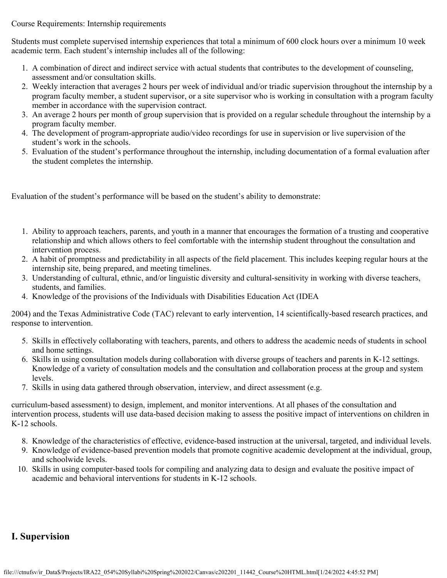Course Requirements: Internship requirements

Students must complete supervised internship experiences that total a minimum of 600 clock hours over a minimum 10 week academic term. Each student's internship includes all of the following:

- 1. A combination of direct and indirect service with actual students that contributes to the development of counseling, assessment and/or consultation skills.
- 2. Weekly interaction that averages 2 hours per week of individual and/or triadic supervision throughout the internship by a program faculty member, a student supervisor, or a site supervisor who is working in consultation with a program faculty member in accordance with the supervision contract.
- 3. An average 2 hours per month of group supervision that is provided on a regular schedule throughout the internship by a program faculty member.
- 4. The development of program-appropriate audio/video recordings for use in supervision or live supervision of the student's work in the schools.
- 5. Evaluation of the student's performance throughout the internship, including documentation of a formal evaluation after the student completes the internship.

Evaluation of the student's performance will be based on the student's ability to demonstrate:

- 1. Ability to approach teachers, parents, and youth in a manner that encourages the formation of a trusting and cooperative relationship and which allows others to feel comfortable with the internship student throughout the consultation and intervention process.
- 2. A habit of promptness and predictability in all aspects of the field placement. This includes keeping regular hours at the internship site, being prepared, and meeting timelines.
- 3. Understanding of cultural, ethnic, and/or linguistic diversity and cultural-sensitivity in working with diverse teachers, students, and families.
- 4. Knowledge of the provisions of the Individuals with Disabilities Education Act (IDEA

2004) and the Texas Administrative Code (TAC) relevant to early intervention, 14 scientifically-based research practices, and response to intervention.

- 5. Skills in effectively collaborating with teachers, parents, and others to address the academic needs of students in school and home settings.
- 6. Skills in using consultation models during collaboration with diverse groups of teachers and parents in K-12 settings. Knowledge of a variety of consultation models and the consultation and collaboration process at the group and system levels.
- 7. Skills in using data gathered through observation, interview, and direct assessment (e.g.

curriculum-based assessment) to design, implement, and monitor interventions. At all phases of the consultation and intervention process, students will use data-based decision making to assess the positive impact of interventions on children in K-12 schools.

- 8. Knowledge of the characteristics of effective, evidence-based instruction at the universal, targeted, and individual levels.
- 9. Knowledge of evidence-based prevention models that promote cognitive academic development at the individual, group, and schoolwide levels.
- 10. Skills in using computer-based tools for compiling and analyzing data to design and evaluate the positive impact of academic and behavioral interventions for students in K-12 schools.

# **I. Supervision**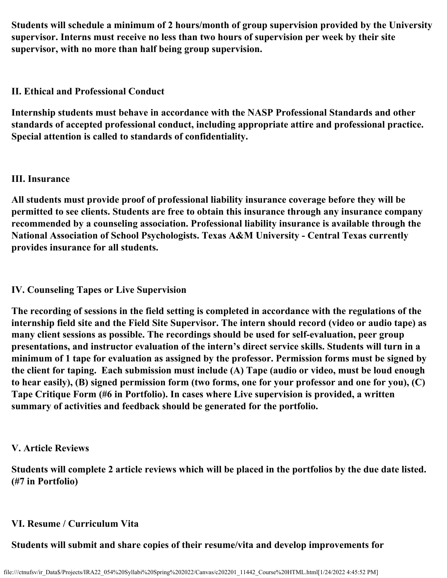**Students will schedule a minimum of 2 hours/month of group supervision provided by the University supervisor. Interns must receive no less than two hours of supervision per week by their site supervisor, with no more than half being group supervision.**

# **II. Ethical and Professional Conduct**

**Internship students must behave in accordance with the NASP Professional Standards and other standards of accepted professional conduct, including appropriate attire and professional practice. Special attention is called to standards of confidentiality.**

# **III. Insurance**

**All students must provide proof of professional liability insurance coverage before they will be permitted to see clients. Students are free to obtain this insurance through any insurance company recommended by a counseling association. Professional liability insurance is available through the National Association of School Psychologists. Texas A&M University - Central Texas currently provides insurance for all students.**

# **IV. Counseling Tapes or Live Supervision**

**The recording of sessions in the field setting is completed in accordance with the regulations of the internship field site and the Field Site Supervisor. The intern should record (video or audio tape) as many client sessions as possible. The recordings should be used for self-evaluation, peer group presentations, and instructor evaluation of the intern's direct service skills. Students will turn in a minimum of 1 tape for evaluation as assigned by the professor. Permission forms must be signed by the client for taping. Each submission must include (A) Tape (audio or video, must be loud enough to hear easily), (B) signed permission form (two forms, one for your professor and one for you), (C) Tape Critique Form (#6 in Portfolio). In cases where Live supervision is provided, a written summary of activities and feedback should be generated for the portfolio.**

# **V. Article Reviews**

**Students will complete 2 article reviews which will be placed in the portfolios by the due date listed. (#7 in Portfolio)**

# **VI. Resume / Curriculum Vita**

# **Students will submit and share copies of their resume/vita and develop improvements for**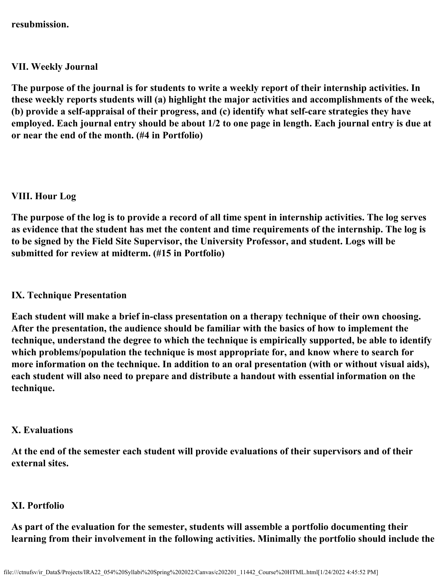**resubmission.**

## **VII. Weekly Journal**

**The purpose of the journal is for students to write a weekly report of their internship activities. In these weekly reports students will (a) highlight the major activities and accomplishments of the week, (b) provide a self-appraisal of their progress, and (c) identify what self-care strategies they have employed. Each journal entry should be about 1/2 to one page in length. Each journal entry is due at or near the end of the month. (#4 in Portfolio)**

# **VIII. Hour Log**

**The purpose of the log is to provide a record of all time spent in internship activities. The log serves as evidence that the student has met the content and time requirements of the internship. The log is to be signed by the Field Site Supervisor, the University Professor, and student. Logs will be submitted for review at midterm. (#15 in Portfolio)**

# **IX. Technique Presentation**

**Each student will make a brief in-class presentation on a therapy technique of their own choosing. After the presentation, the audience should be familiar with the basics of how to implement the technique, understand the degree to which the technique is empirically supported, be able to identify which problems/population the technique is most appropriate for, and know where to search for more information on the technique. In addition to an oral presentation (with or without visual aids), each student will also need to prepare and distribute a handout with essential information on the technique.**

### **X. Evaluations**

**At the end of the semester each student will provide evaluations of their supervisors and of their external sites.**

# **XI. Portfolio**

**As part of the evaluation for the semester, students will assemble a portfolio documenting their learning from their involvement in the following activities. Minimally the portfolio should include the**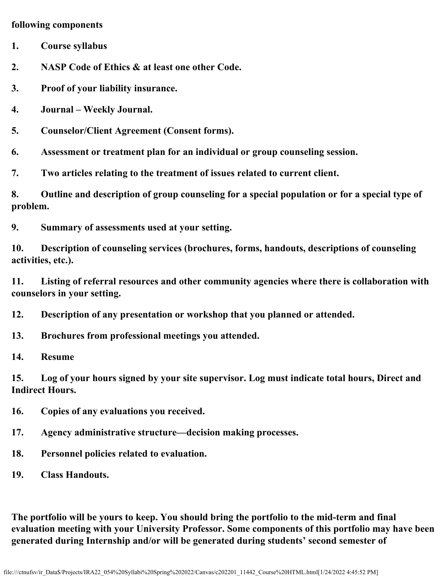### **following components**

- **1. Course syllabus**
- **2. NASP Code of Ethics & at least one other Code.**
- **3. Proof of your liability insurance.**
- **4. Journal Weekly Journal.**
- **5. Counselor/Client Agreement (Consent forms).**

**6. Assessment or treatment plan for an individual or group counseling session.**

**7. Two articles relating to the treatment of issues related to current client.**

**8. Outline and description of group counseling for a special population or for a special type of problem.**

**9. Summary of assessments used at your setting.**

**10. Description of counseling services (brochures, forms, handouts, descriptions of counseling activities, etc.).**

**11. Listing of referral resources and other community agencies where there is collaboration with counselors in your setting.**

**12. Description of any presentation or workshop that you planned or attended.**

- **13. Brochures from professional meetings you attended.**
- **14. Resume**

**15. Log of your hours signed by your site supervisor. Log must indicate total hours, Direct and Indirect Hours.**

**16. Copies of any evaluations you received.**

- **17. Agency administrative structure—decision making processes.**
- **18. Personnel policies related to evaluation.**
- **19. Class Handouts.**

**The portfolio will be yours to keep. You should bring the portfolio to the mid-term and final evaluation meeting with your University Professor. Some components of this portfolio may have been generated during Internship and/or will be generated during students' second semester of**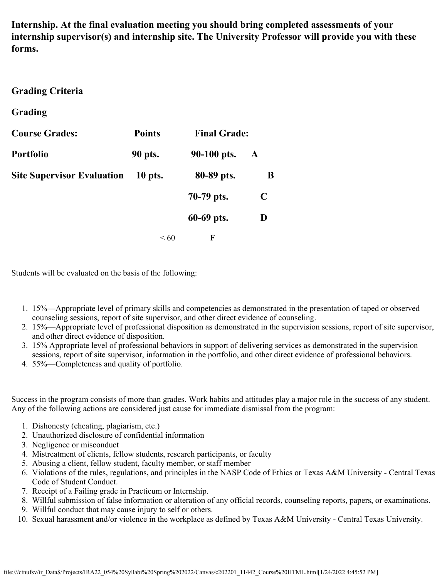**Internship. At the final evaluation meeting you should bring completed assessments of your internship supervisor(s) and internship site. The University Professor will provide you with these forms.**

### **Grading Criteria**

### **Grading**

| <b>Course Grades:</b>             | <b>Points</b> | <b>Final Grade:</b> |   |
|-----------------------------------|---------------|---------------------|---|
| <b>Portfolio</b>                  | 90 pts.       | 90-100 pts.         | A |
| <b>Site Supervisor Evaluation</b> | 10 pts.       | 80-89 pts.          | B |
|                                   |               | 70-79 pts.          | C |
|                                   |               | 60-69 pts.          | D |
|                                   | $\leq 60$     | F                   |   |

Students will be evaluated on the basis of the following:

- 1. 15%—Appropriate level of primary skills and competencies as demonstrated in the presentation of taped or observed counseling sessions, report of site supervisor, and other direct evidence of counseling.
- 2. 15%—Appropriate level of professional disposition as demonstrated in the supervision sessions, report of site supervisor, and other direct evidence of disposition.
- 3. 15% Appropriate level of professional behaviors in support of delivering services as demonstrated in the supervision sessions, report of site supervisor, information in the portfolio, and other direct evidence of professional behaviors.
- 4. 55%—Completeness and quality of portfolio.

Success in the program consists of more than grades. Work habits and attitudes play a major role in the success of any student. Any of the following actions are considered just cause for immediate dismissal from the program:

- 1. Dishonesty (cheating, plagiarism, etc.)
- 2. Unauthorized disclosure of confidential information
- 3. Negligence or misconduct
- 4. Mistreatment of clients, fellow students, research participants, or faculty
- 5. Abusing a client, fellow student, faculty member, or staff member
- 6. Violations of the rules, regulations, and principles in the NASP Code of Ethics or Texas A&M University Central Texas Code of Student Conduct.
- 7. Receipt of a Failing grade in Practicum or Internship.
- 8. Willful submission of false information or alteration of any official records, counseling reports, papers, or examinations.
- 9. Willful conduct that may cause injury to self or others.
- 10. Sexual harassment and/or violence in the workplace as defined by Texas A&M University Central Texas University.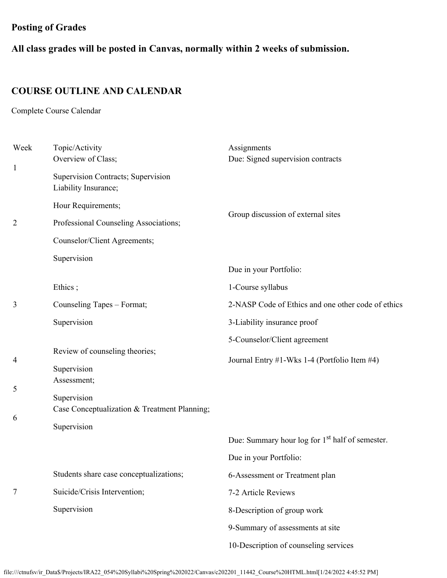# **Posting of Grades**

**All class grades will be posted in Canvas, normally within 2 weeks of submission.**

# **COURSE OUTLINE AND CALENDAR**

Complete Course Calendar

| Week             | Topic/Activity<br>Overview of Class;                       | Assignments<br>Due: Signed supervision contracts            |  |
|------------------|------------------------------------------------------------|-------------------------------------------------------------|--|
| $\mathbf{1}$     | Supervision Contracts; Supervision<br>Liability Insurance; |                                                             |  |
|                  | Hour Requirements;                                         | Group discussion of external sites                          |  |
| $\overline{2}$   | Professional Counseling Associations;                      |                                                             |  |
|                  | Counselor/Client Agreements;                               |                                                             |  |
|                  | Supervision                                                |                                                             |  |
|                  |                                                            | Due in your Portfolio:                                      |  |
|                  | Ethics;                                                    | 1-Course syllabus                                           |  |
| 3                | Counseling Tapes - Format;                                 | 2-NASP Code of Ethics and one other code of ethics          |  |
|                  | Supervision                                                | 3-Liability insurance proof                                 |  |
|                  |                                                            | 5-Counselor/Client agreement                                |  |
| 4                | Review of counseling theories;                             | Journal Entry #1-Wks 1-4 (Portfolio Item #4)                |  |
|                  | Supervision                                                |                                                             |  |
| Assessment;<br>5 |                                                            |                                                             |  |
|                  | Supervision                                                |                                                             |  |
| 6                | Case Conceptualization & Treatment Planning;               |                                                             |  |
|                  | Supervision                                                | Due: Summary hour log for 1 <sup>st</sup> half of semester. |  |
|                  |                                                            |                                                             |  |
|                  |                                                            | Due in your Portfolio:                                      |  |
|                  | Students share case conceptualizations;                    | 6-Assessment or Treatment plan                              |  |
| 7                | Suicide/Crisis Intervention;                               | 7-2 Article Reviews                                         |  |
|                  | Supervision                                                | 8-Description of group work                                 |  |
|                  |                                                            | 9-Summary of assessments at site                            |  |
|                  |                                                            | 10-Description of counseling services                       |  |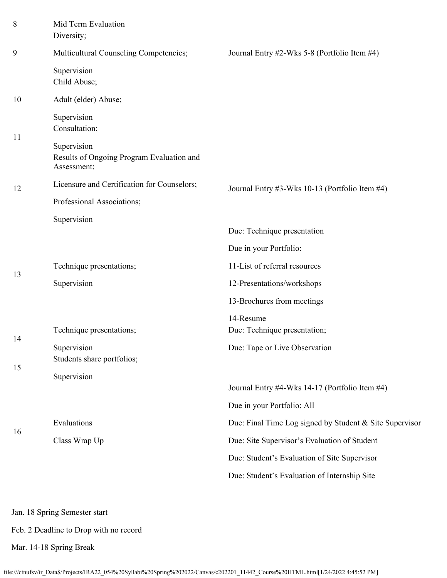| 8  | Mid Term Evaluation<br>Diversity;                                       |                                                         |
|----|-------------------------------------------------------------------------|---------------------------------------------------------|
| 9  | Multicultural Counseling Competencies;                                  | Journal Entry #2-Wks 5-8 (Portfolio Item #4)            |
|    | Supervision<br>Child Abuse;                                             |                                                         |
| 10 | Adult (elder) Abuse;                                                    |                                                         |
|    | Supervision<br>Consultation;                                            |                                                         |
| 11 | Supervision<br>Results of Ongoing Program Evaluation and<br>Assessment; |                                                         |
| 12 | Licensure and Certification for Counselors;                             | Journal Entry #3-Wks 10-13 (Portfolio Item #4)          |
|    | Professional Associations;                                              |                                                         |
|    | Supervision                                                             |                                                         |
|    |                                                                         | Due: Technique presentation                             |
| 13 |                                                                         | Due in your Portfolio:                                  |
|    | Technique presentations;                                                | 11-List of referral resources                           |
|    | Supervision                                                             | 12-Presentations/workshops                              |
|    |                                                                         | 13-Brochures from meetings                              |
|    | Technique presentations;                                                | 14-Resume<br>Due: Technique presentation;               |
| 14 | Supervision<br>Students share portfolios;                               | Due: Tape or Live Observation                           |
| 15 | Supervision                                                             |                                                         |
|    |                                                                         | Journal Entry #4-Wks 14-17 (Portfolio Item #4)          |
|    |                                                                         | Due in your Portfolio: All                              |
| 16 | Evaluations                                                             | Due: Final Time Log signed by Student & Site Supervisor |
|    | Class Wrap Up                                                           | Due: Site Supervisor's Evaluation of Student            |
|    |                                                                         | Due: Student's Evaluation of Site Supervisor            |
|    |                                                                         | Due: Student's Evaluation of Internship Site            |
|    |                                                                         |                                                         |
|    |                                                                         |                                                         |

Jan. 18 Spring Semester start

Feb. 2 Deadline to Drop with no record

Mar. 14-18 Spring Break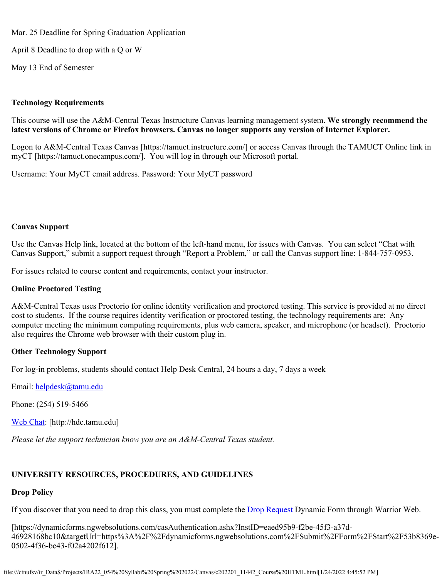Mar. 25 Deadline for Spring Graduation Application

April 8 Deadline to drop with a Q or W

May 13 End of Semester

### **Technology Requirements**

This course will use the A&M-Central Texas Instructure Canvas learning management system. **We strongly recommend the latest versions of Chrome or Firefox browsers. Canvas no longer supports any version of Internet Explorer.**

Logon to A&M-Central Texas Canvas [https://tamuct.instructure.com/] or access Canvas through the TAMUCT Online link in myCT [https://tamuct.onecampus.com/]. You will log in through our Microsoft portal.

Username: Your MyCT email address. Password: Your MyCT password

### **Canvas Support**

Use the Canvas Help link, located at the bottom of the left-hand menu, for issues with Canvas. You can select "Chat with Canvas Support," submit a support request through "Report a Problem," or call the Canvas support line: 1-844-757-0953.

For issues related to course content and requirements, contact your instructor.

### **Online Proctored Testing**

A&M-Central Texas uses Proctorio for online identity verification and proctored testing. This service is provided at no direct cost to students. If the course requires identity verification or proctored testing, the technology requirements are: Any computer meeting the minimum computing requirements, plus web camera, speaker, and microphone (or headset). Proctorio also requires the Chrome web browser with their custom plug in.

### **Other Technology Support**

For log-in problems, students should contact Help Desk Central, 24 hours a day, 7 days a week

Email: [helpdesk@tamu.edu](mailto:helpdesk@tamu.edu)

Phone: (254) 519-5466

[Web Chat](http://hdc.tamu.edu/): [http://hdc.tamu.edu]

*Please let the support technician know you are an A&M-Central Texas student.*

### **UNIVERSITY RESOURCES, PROCEDURES, AND GUIDELINES**

### **Drop Policy**

If you discover that you need to drop this class, you must complete the **Drop Request** Dynamic Form through Warrior Web.

[https://dynamicforms.ngwebsolutions.com/casAuthentication.ashx?InstID=eaed95b9-f2be-45f3-a37d-46928168bc10&targetUrl=https%3A%2F%2Fdynamicforms.ngwebsolutions.com%2FSubmit%2FForm%2FStart%2F53b8369e-0502-4f36-be43-f02a4202f612].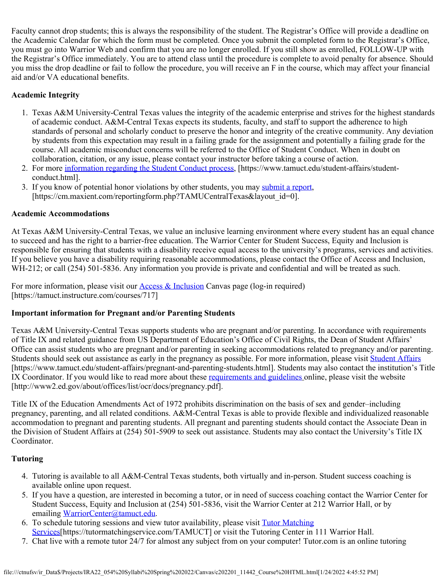Faculty cannot drop students; this is always the responsibility of the student. The Registrar's Office will provide a deadline on the Academic Calendar for which the form must be completed. Once you submit the completed form to the Registrar's Office, you must go into Warrior Web and confirm that you are no longer enrolled. If you still show as enrolled, FOLLOW-UP with the Registrar's Office immediately. You are to attend class until the procedure is complete to avoid penalty for absence. Should you miss the drop deadline or fail to follow the procedure, you will receive an F in the course, which may affect your financial aid and/or VA educational benefits.

### **Academic Integrity**

- 1. Texas A&M University-Central Texas values the integrity of the academic enterprise and strives for the highest standards of academic conduct. A&M-Central Texas expects its students, faculty, and staff to support the adherence to high standards of personal and scholarly conduct to preserve the honor and integrity of the creative community. Any deviation by students from this expectation may result in a failing grade for the assignment and potentially a failing grade for the course. All academic misconduct concerns will be referred to the Office of Student Conduct. When in doubt on collaboration, citation, or any issue, please contact your instructor before taking a course of action.
- 2. For more [information regarding the Student Conduct process](https://nam04.safelinks.protection.outlook.com/?url=https%3A%2F%2Fwww.tamuct.edu%2Fstudent-affairs%2Fstudent-conduct.html&data=04%7C01%7Clisa.bunkowski%40tamuct.edu%7Ccfb6e486f24745f53e1a08d910055cb2%7C9eed4e3000f744849ff193ad8005acec%7C0%7C0%7C637558437485252160%7CUnknown%7CTWFpbGZsb3d8eyJWIjoiMC4wLjAwMDAiLCJQIjoiV2luMzIiLCJBTiI6Ik1haWwiLCJXVCI6Mn0%3D%7C1000&sdata=yjftDEVHvLX%2FhM%2FcFU0B99krV1RgEWR%2BJ%2BhvtoR6TYk%3D&reserved=0), [https://www.tamuct.edu/student-affairs/studentconduct.html].
- 3. If you know of potential honor violations by other students, you may [submit a report](https://nam04.safelinks.protection.outlook.com/?url=https%3A%2F%2Fcm.maxient.com%2Freportingform.php%3FTAMUCentralTexas%26layout_id%3D0&data=04%7C01%7Clisa.bunkowski%40tamuct.edu%7Ccfb6e486f24745f53e1a08d910055cb2%7C9eed4e3000f744849ff193ad8005acec%7C0%7C0%7C637558437485262157%7CUnknown%7CTWFpbGZsb3d8eyJWIjoiMC4wLjAwMDAiLCJQIjoiV2luMzIiLCJBTiI6Ik1haWwiLCJXVCI6Mn0%3D%7C1000&sdata=CXGkOa6uPDPX1IMZ87z3aZDq2n91xfHKu4MMS43Ejjk%3D&reserved=0), [https://cm.maxient.com/reportingform.php?TAMUCentralTexas&layout\_id=0].

### **Academic Accommodations**

At Texas A&M University-Central Texas, we value an inclusive learning environment where every student has an equal chance to succeed and has the right to a barrier-free education. The Warrior Center for Student Success, Equity and Inclusion is responsible for ensuring that students with a disability receive equal access to the university's programs, services and activities. If you believe you have a disability requiring reasonable accommodations, please contact the Office of Access and Inclusion, WH-212; or call (254) 501-5836. Any information you provide is private and confidential and will be treated as such.

For more information, please visit our **Access & Inclusion** Canvas page (log-in required) [https://tamuct.instructure.com/courses/717]

### **Important information for Pregnant and/or Parenting Students**

Texas A&M University-Central Texas supports students who are pregnant and/or parenting. In accordance with requirements of Title IX and related guidance from US Department of Education's Office of Civil Rights, the Dean of Student Affairs' Office can assist students who are pregnant and/or parenting in seeking accommodations related to pregnancy and/or parenting. Students should seek out assistance as early in the pregnancy as possible. For more information, please visit [Student Affairs](https://www.tamuct.edu/student-affairs/pregnant-and-parenting-students.html) [https://www.tamuct.edu/student-affairs/pregnant-and-parenting-students.html]. Students may also contact the institution's Title IX Coordinator. If you would like to read more about these [requirements and guidelines](http://www2.ed.gov/about/offices/list/ocr/docs/pregnancy.pdf) online, please visit the website [http://www2.ed.gov/about/offices/list/ocr/docs/pregnancy.pdf].

Title IX of the Education Amendments Act of 1972 prohibits discrimination on the basis of sex and gender–including pregnancy, parenting, and all related conditions. A&M-Central Texas is able to provide flexible and individualized reasonable accommodation to pregnant and parenting students. All pregnant and parenting students should contact the Associate Dean in the Division of Student Affairs at (254) 501-5909 to seek out assistance. Students may also contact the University's Title IX Coordinator.

### **Tutoring**

- 4. Tutoring is available to all A&M-Central Texas students, both virtually and in-person. Student success coaching is available online upon request.
- 5. If you have a question, are interested in becoming a tutor, or in need of success coaching contact the Warrior Center for Student Success, Equity and Inclusion at (254) 501-5836, visit the Warrior Center at 212 Warrior Hall, or by emailing [WarriorCenter@tamuct.edu](mailto:WarriorCenter@tamuct.edu).
- 6. To schedule tutoring sessions and view tutor availability, please visit [Tutor Matching](https://tutormatchingservice.com/TAMUCT) [Services](https://tutormatchingservice.com/TAMUCT)[https://tutormatchingservice.com/TAMUCT] or visit the Tutoring Center in 111 Warrior Hall.
- 7. Chat live with a remote tutor 24/7 for almost any subject from on your computer! Tutor.com is an online tutoring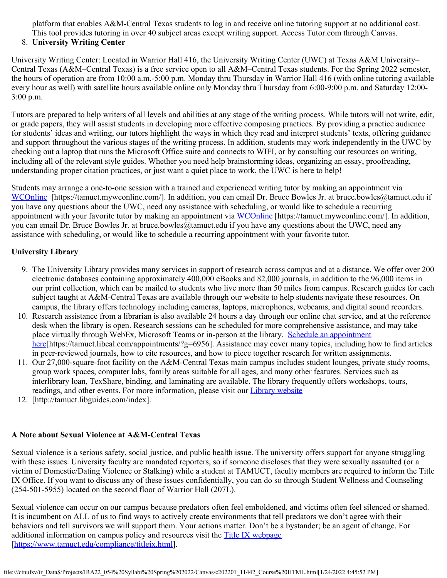platform that enables A&M-Central Texas students to log in and receive online tutoring support at no additional cost. This tool provides tutoring in over 40 subject areas except writing support. Access Tutor.com through Canvas.

### 8. **University Writing Center**

University Writing Center: Located in Warrior Hall 416, the University Writing Center (UWC) at Texas A&M University– Central Texas (A&M–Central Texas) is a free service open to all A&M–Central Texas students. For the Spring 2022 semester, the hours of operation are from 10:00 a.m.-5:00 p.m. Monday thru Thursday in Warrior Hall 416 (with online tutoring available every hour as well) with satellite hours available online only Monday thru Thursday from 6:00-9:00 p.m. and Saturday 12:00- 3:00 p.m.

Tutors are prepared to help writers of all levels and abilities at any stage of the writing process. While tutors will not write, edit, or grade papers, they will assist students in developing more effective composing practices. By providing a practice audience for students' ideas and writing, our tutors highlight the ways in which they read and interpret students' texts, offering guidance and support throughout the various stages of the writing process. In addition, students may work independently in the UWC by checking out a laptop that runs the Microsoft Office suite and connects to WIFI, or by consulting our resources on writing, including all of the relevant style guides. Whether you need help brainstorming ideas, organizing an essay, proofreading, understanding proper citation practices, or just want a quiet place to work, the UWC is here to help!

Students may arrange a one-to-one session with a trained and experienced writing tutor by making an appointment via [WCOnline](https://tamuct.mywconline.com/) [https://tamuct.mywconline.com/]. In addition, you can email Dr. Bruce Bowles Jr. at bruce.bowles@tamuct.edu if you have any questions about the UWC, need any assistance with scheduling, or would like to schedule a recurring appointment with your favorite tutor by making an appointment via [WCOnline](https://tamuct.mywconline.com/) [https://tamuct.mywconline.com/]. In addition, you can email Dr. Bruce Bowles Jr. at bruce.bowles@tamuct.edu if you have any questions about the UWC, need any assistance with scheduling, or would like to schedule a recurring appointment with your favorite tutor.

### **University Library**

- 9. The University Library provides many services in support of research across campus and at a distance. We offer over 200 electronic databases containing approximately 400,000 eBooks and 82,000 journals, in addition to the 96,000 items in our print collection, which can be mailed to students who live more than 50 miles from campus. Research guides for each subject taught at A&M-Central Texas are available through our website to help students navigate these resources. On campus, the library offers technology including cameras, laptops, microphones, webcams, and digital sound recorders.
- 10. Research assistance from a librarian is also available 24 hours a day through our online chat service, and at the reference desk when the library is open. Research sessions can be scheduled for more comprehensive assistance, and may take place virtually through WebEx, Microsoft Teams or in-person at the library. [Schedule an appointment](https://nam04.safelinks.protection.outlook.com/?url=https%3A%2F%2Ftamuct.libcal.com%2Fappointments%2F%3Fg%3D6956&data=04%7C01%7Clisa.bunkowski%40tamuct.edu%7Cde2c07d9f5804f09518008d9ab7ba6ff%7C9eed4e3000f744849ff193ad8005acec%7C0%7C0%7C637729369835011558%7CUnknown%7CTWFpbGZsb3d8eyJWIjoiMC4wLjAwMDAiLCJQIjoiV2luMzIiLCJBTiI6Ik1haWwiLCJXVCI6Mn0%3D%7C3000&sdata=KhtjgRSAw9aq%2FoBsB6wyu8b7PSuGN5EGPypzr3Ty2No%3D&reserved=0) [here](https://nam04.safelinks.protection.outlook.com/?url=https%3A%2F%2Ftamuct.libcal.com%2Fappointments%2F%3Fg%3D6956&data=04%7C01%7Clisa.bunkowski%40tamuct.edu%7Cde2c07d9f5804f09518008d9ab7ba6ff%7C9eed4e3000f744849ff193ad8005acec%7C0%7C0%7C637729369835011558%7CUnknown%7CTWFpbGZsb3d8eyJWIjoiMC4wLjAwMDAiLCJQIjoiV2luMzIiLCJBTiI6Ik1haWwiLCJXVCI6Mn0%3D%7C3000&sdata=KhtjgRSAw9aq%2FoBsB6wyu8b7PSuGN5EGPypzr3Ty2No%3D&reserved=0)[https://tamuct.libcal.com/appointments/?g=6956]. Assistance may cover many topics, including how to find articles in peer-reviewed journals, how to cite resources, and how to piece together research for written assignments.
- 11. Our 27,000-square-foot facility on the A&M-Central Texas main campus includes student lounges, private study rooms, group work spaces, computer labs, family areas suitable for all ages, and many other features. Services such as interlibrary loan, TexShare, binding, and laminating are available. The library frequently offers workshops, tours, readings, and other events. For more information, please visit our [Library website](https://nam04.safelinks.protection.outlook.com/?url=https%3A%2F%2Ftamuct.libguides.com%2Findex&data=04%7C01%7Clisa.bunkowski%40tamuct.edu%7C7d8489e8839a4915335f08d916f067f2%7C9eed4e3000f744849ff193ad8005acec%7C0%7C0%7C637566044056484222%7CUnknown%7CTWFpbGZsb3d8eyJWIjoiMC4wLjAwMDAiLCJQIjoiV2luMzIiLCJBTiI6Ik1haWwiLCJXVCI6Mn0%3D%7C1000&sdata=2R755V6rcIyedGrd4Os5rkgn1PvhHKU3kUV1vBKiHFo%3D&reserved=0)
- 12. [http://tamuct.libguides.com/index].

### **A Note about Sexual Violence at A&M-Central Texas**

Sexual violence is a serious safety, social justice, and public health issue. The university offers support for anyone struggling with these issues. University faculty are mandated reporters, so if someone discloses that they were sexually assaulted (or a victim of Domestic/Dating Violence or Stalking) while a student at TAMUCT, faculty members are required to inform the Title IX Office. If you want to discuss any of these issues confidentially, you can do so through Student Wellness and Counseling (254-501-5955) located on the second floor of Warrior Hall (207L).

Sexual violence can occur on our campus because predators often feel emboldened, and victims often feel silenced or shamed. It is incumbent on ALL of us to find ways to actively create environments that tell predators we don't agree with their behaviors and tell survivors we will support them. Your actions matter. Don't be a bystander; be an agent of change. For additional information on campus policy and resources visit the [Title IX webpage](https://www.tamuct.edu/compliance/titleix.html) [\[https://www.tamuct.edu/compliance/titleix.html](https://www.tamuct.edu/compliance/titleix.html)].